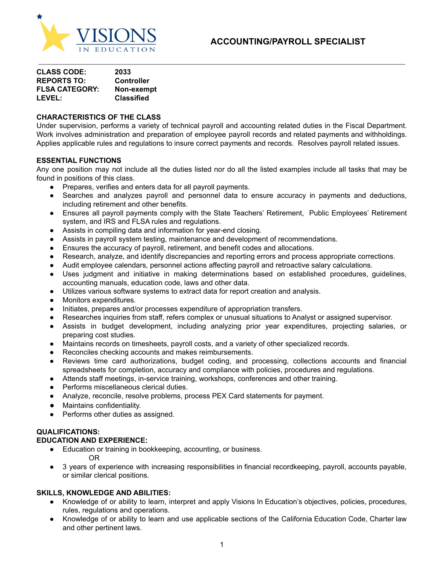

| <b>CLASS CODE:</b>    | 2033              |
|-----------------------|-------------------|
| <b>REPORTS TO:</b>    | <b>Controller</b> |
| <b>FLSA CATEGORY:</b> | Non-exempt        |
| <b>LEVEL:</b>         | <b>Classified</b> |

### **CHARACTERISTICS OF THE CLASS**

Under supervision, performs a variety of technical payroll and accounting related duties in the Fiscal Department. Work involves administration and preparation of employee payroll records and related payments and withholdings. Applies applicable rules and regulations to insure correct payments and records. Resolves payroll related issues.

#### **ESSENTIAL FUNCTIONS**

Any one position may not include all the duties listed nor do all the listed examples include all tasks that may be found in positions of this class.

- **●** Prepares, verifies and enters data for all payroll payments.
- Searches and analyzes payroll and personnel data to ensure accuracy in payments and deductions, including retirement and other benefits.
- Ensures all payroll payments comply with the State Teachers' Retirement, Public Employees' Retirement system, and IRS and FLSA rules and regulations.
- Assists in compiling data and information for year-end closing.
- Assists in payroll system testing, maintenance and development of recommendations.
- Ensures the accuracy of payroll, retirement, and benefit codes and allocations.
- Research, analyze, and identify discrepancies and reporting errors and process appropriate corrections.
- Audit employee calendars, personnel actions affecting payroll and retroactive salary calculations.
- **●** Uses judgment and initiative in making determinations based on established procedures, guidelines, accounting manuals, education code, laws and other data.
- **●** Utilizes various software systems to extract data for report creation and analysis.
- Monitors expenditures.
- Initiates, prepares and/or processes expenditure of appropriation transfers.
- Researches inquiries from staff, refers complex or unusual situations to Analyst or assigned supervisor.
- Assists in budget development, including analyzing prior year expenditures, projecting salaries, or preparing cost studies.
- Maintains records on timesheets, payroll costs, and a variety of other specialized records.
- Reconciles checking accounts and makes reimbursements.
- Reviews time card authorizations, budget coding, and processing, collections accounts and financial spreadsheets for completion, accuracy and compliance with policies, procedures and regulations.
- Attends staff meetings, in-service training, workshops, conferences and other training.
- Performs miscellaneous clerical duties.
- Analyze, reconcile, resolve problems, process PEX Card statements for payment.
- Maintains confidentiality.
- Performs other duties as assigned.

# **QUALIFICATIONS:**

## **EDUCATION AND EXPERIENCE:**

- Education or training in bookkeeping, accounting, or business. OR
- 3 years of experience with increasing responsibilities in financial recordkeeping, payroll, accounts payable, or similar clerical positions.

## **SKILLS, KNOWLEDGE AND ABILITIES:**

- **●** Knowledge of or ability to learn, interpret and apply Visions In Education's objectives, policies, procedures, rules, regulations and operations.
- Knowledge of or ability to learn and use applicable sections of the California Education Code, Charter law and other pertinent laws.